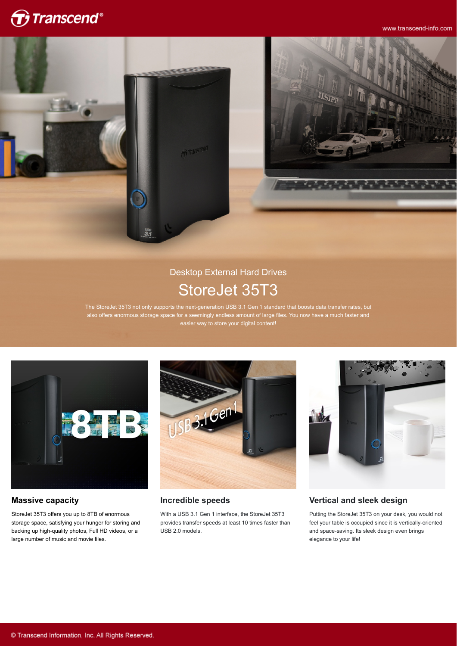

www.transcend-info.com



## Desktop External Hard Drives StoreJet 35T3

The StoreJet 35T3 not only supports the next-generation USB 3.1 Gen 1 standard that boosts data transfer rates, but also offers enormous storage space for a seemingly endless amount of large files. You now have a much faster and easier way to store your digital content!



### **Massive capacity**

StoreJet 35T3 offers you up to 8TB of enormous storage space, satisfying your hunger for storing and backing up high-quality photos, Full HD videos, or a large number of music and movie files.



### **Incredible speeds**

With a USB 3.1 Gen 1 interface, the StoreJet 35T3 provides transfer speeds at least 10 times faster than USB 2.0 models.



### **Vertical and sleek design**

Putting the StoreJet 35T3 on your desk, you would not feel your table is occupied since it is vertically-oriented and space-saving. Its sleek design even brings elegance to your life!